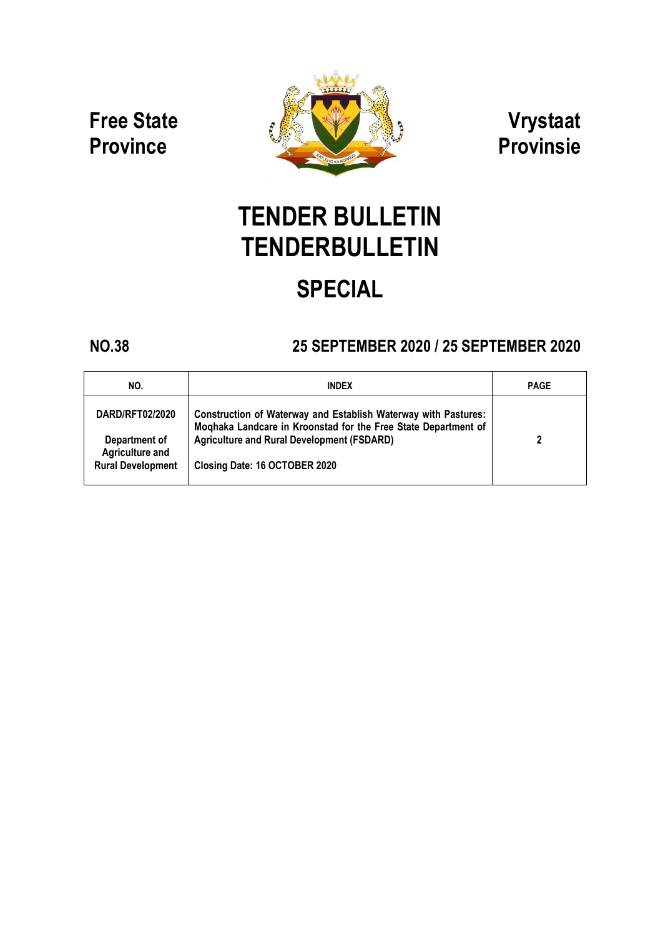**Free State Province**



**Vrystaat Provinsie**

# **TENDER BULLETIN TENDERBULLETIN SPECIAL**

## **NO.38 25 SEPTEMBER 2020 / 25 SEPTEMBER 2020**

| NO.                                                                             | <b>INDEX</b>                                                                                                                                                                                                           | <b>PAGE</b> |
|---------------------------------------------------------------------------------|------------------------------------------------------------------------------------------------------------------------------------------------------------------------------------------------------------------------|-------------|
| DARD/RFT02/2020<br>Department of<br>Agriculture and<br><b>Rural Development</b> | Construction of Waterway and Establish Waterway with Pastures:<br>Moghaka Landcare in Kroonstad for the Free State Department of<br><b>Agriculture and Rural Development (FSDARD)</b><br>Closing Date: 16 OCTOBER 2020 | 2           |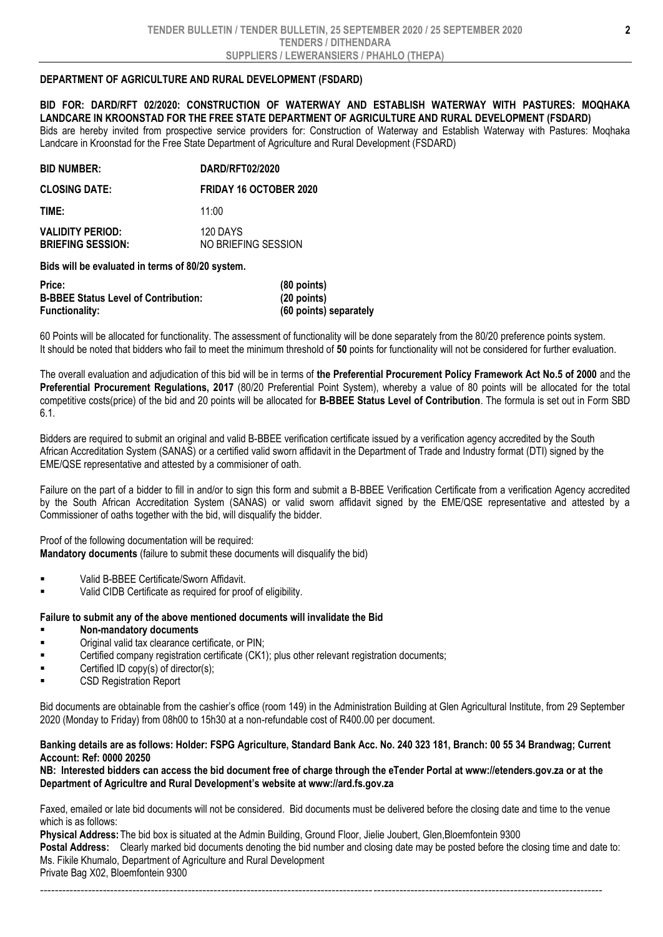### **DEPARTMENT OF AGRICULTURE AND RURAL DEVELOPMENT (FSDARD)**

**BID FOR: DARD/RFT 02/2020: CONSTRUCTION OF WATERWAY AND ESTABLISH WATERWAY WITH PASTURES: MOQHAKA LANDCARE IN KROONSTAD FOR THE FREE STATE DEPARTMENT OF AGRICULTURE AND RURAL DEVELOPMENT (FSDARD)** Bids are hereby invited from prospective service providers for: Construction of Waterway and Establish Waterway with Pastures: Moqhaka Landcare in Kroonstad for the Free State Department of Agriculture and Rural Development (FSDARD)

| <b>BID NUMBER:</b>                                  | DARD/RFT02/2020                 |  |
|-----------------------------------------------------|---------------------------------|--|
| <b>CLOSING DATE:</b>                                | <b>FRIDAY 16 OCTOBER 2020</b>   |  |
| TIME:                                               | 11:00                           |  |
| <b>VALIDITY PERIOD:</b><br><b>BRIEFING SESSION:</b> | 120 DAYS<br>NO BRIEFING SESSION |  |

**Bids will be evaluated in terms of 80/20 system.**

| Price:                                      | $(80$ points)          |
|---------------------------------------------|------------------------|
| <b>B-BBEE Status Level of Contribution:</b> | $(20$ points)          |
| <b>Functionality:</b>                       | (60 points) separately |

60 Points will be allocated for functionality. The assessment of functionality will be done separately from the 80/20 preference points system. It should be noted that bidders who fail to meet the minimum threshold of **50** points for functionality will not be considered for further evaluation.

The overall evaluation and adjudication of this bid will be in terms of **the Preferential Procurement Policy Framework Act No.5 of 2000** and the **Preferential Procurement Regulations, 2017** (80/20 Preferential Point System), whereby a value of 80 points will be allocated for the total competitive costs(price) of the bid and 20 points will be allocated for **B-BBEE Status Level of Contribution**. The formula is set out in Form SBD 6.1.

Bidders are required to submit an original and valid B-BBEE verification certificate issued by a verification agency accredited by the South African Accreditation System (SANAS) or a certified valid sworn affidavit in the Department of Trade and Industry format (DTI) signed by the EME/QSE representative and attested by a commisioner of oath.

Failure on the part of a bidder to fill in and/or to sign this form and submit a B-BBEE Verification Certificate from a verification Agency accredited by the South African Accreditation System (SANAS) or valid sworn affidavit signed by the EME/QSE representative and attested by a Commissioner of oaths together with the bid, will disqualify the bidder.

Proof of the following documentation will be required:

**Mandatory documents** (failure to submit these documents will disqualify the bid)

- Valid B-BBEE Certificate/Sworn Affidavit.
- Valid CIDB Certificate as required for proof of eligibility.

#### **Failure to submit any of the above mentioned documents will invalidate the Bid**

- **Non-mandatory documents**
- Original valid tax clearance certificate, or PIN;
- Certified company registration certificate (CK1); plus other relevant registration documents;
- Certified ID copy(s) of director(s);
- CSD Registration Report

Bid documents are obtainable from the cashier's office (room 149) in the Administration Building at Glen Agricultural Institute, from 29 September 2020 (Monday to Friday) from 08h00 to 15h30 at a non-refundable cost of R400.00 per document.

#### **Banking details are as follows: Holder: FSPG Agriculture, Standard Bank Acc. No. 240 323 181, Branch: 00 55 34 Brandwag; Current Account: Ref: 0000 20250**

**NB: Interested bidders can access the bid document free of charge through the eTender Portal at www://etenders.gov.za or at the Department of Agricultre and Rural Development's website at www://ard.fs.gov.za**

Faxed, emailed or late bid documents will not be considered. Bid documents must be delivered before the closing date and time to the venue which is as follows:

**Physical Address:**The bid box is situated at the Admin Building, Ground Floor, Jielie Joubert, Glen,Bloemfontein 9300 **Postal Address:** Clearly marked bid documents denoting the bid number and closing date may be posted before the closing time and date to: Ms. Fikile Khumalo, Department of Agriculture and Rural Development Private Bag X02, Bloemfontein 9300

--------------------------------------------------------------------------------------------------------------------------------------------------------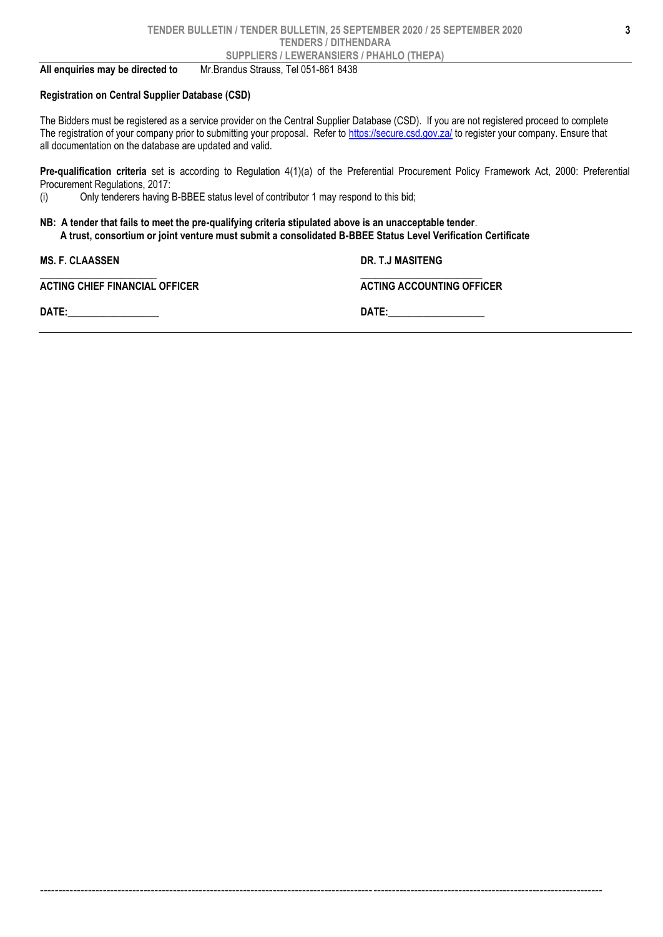**All enquiries may be directed to** Mr.Brandus Strauss, Tel 051-861 8438

#### **Registration on Central Supplier Database (CSD)**

The Bidders must be registered as a service provider on the Central Supplier Database (CSD). If you are not registered proceed to complete The registration of your company prior to submitting your proposal. Refer to<https://secure.csd.gov.za/> to register your company. Ensure that all documentation on the database are updated and valid.

--------------------------------------------------------------------------------------------------------------------------------------------------------

**Pre-qualification criteria** set is according to Regulation 4(1)(a) of the Preferential Procurement Policy Framework Act, 2000: Preferential Procurement Regulations, 2017:

(i) Only tenderers having B-BBEE status level of contributor 1 may respond to this bid;

#### **NB: A tender that fails to meet the pre-qualifying criteria stipulated above is an unacceptable tender**.  **A trust, consortium or joint venture must submit a consolidated B-BBEE Status Level Verification Certificate**

| <b>MS. F. CLAASSEN</b>                | DR. T.J MASITENG                 |  |
|---------------------------------------|----------------------------------|--|
| <b>ACTING CHIEF FINANCIAL OFFICER</b> | <b>ACTING ACCOUNTING OFFICER</b> |  |
| DATE:                                 | DATE:                            |  |